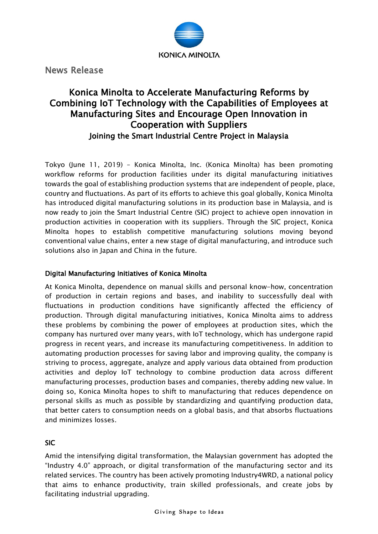

News Release

## Konica Minolta to Accelerate Manufacturing Reforms by Combining IoT Technology with the Capabilities of Employees at Manufacturing Sites and Encourage Open Innovation in Cooperation with Suppliers Joining the Smart Industrial Centre Project in Malaysia

Tokyo (June 11, 2019) – Konica Minolta, Inc. (Konica Minolta) has been promoting workflow reforms for production facilities under its digital manufacturing initiatives towards the goal of establishing production systems that are independent of people, place, country and fluctuations. As part of its efforts to achieve this goal globally, Konica Minolta has introduced digital manufacturing solutions in its production base in Malaysia, and is now ready to join the Smart Industrial Centre (SIC) project to achieve open innovation in production activities in cooperation with its suppliers. Through the SIC project, Konica Minolta hopes to establish competitive manufacturing solutions moving beyond conventional value chains, enter a new stage of digital manufacturing, and introduce such solutions also in Japan and China in the future.

## Digital Manufacturing Initiatives of Konica Minolta

At Konica Minolta, dependence on manual skills and personal know-how, concentration of production in certain regions and bases, and inability to successfully deal with fluctuations in production conditions have significantly affected the efficiency of production. Through digital manufacturing initiatives, Konica Minolta aims to address these problems by combining the power of employees at production sites, which the company has nurtured over many years, with IoT technology, which has undergone rapid progress in recent years, and increase its manufacturing competitiveness. In addition to automating production processes for saving labor and improving quality, the company is striving to process, aggregate, analyze and apply various data obtained from production activities and deploy IoT technology to combine production data across different manufacturing processes, production bases and companies, thereby adding new value. In doing so, Konica Minolta hopes to shift to manufacturing that reduces dependence on personal skills as much as possible by standardizing and quantifying production data, that better caters to consumption needs on a global basis, and that absorbs fluctuations and minimizes losses.

SIC

Amid the intensifying digital transformation, the Malaysian government has adopted the "Industry 4.0" approach, or digital transformation of the manufacturing sector and its related services. The country has been actively promoting Industry4WRD, a national policy that aims to enhance productivity, train skilled professionals, and create jobs by facilitating industrial upgrading.